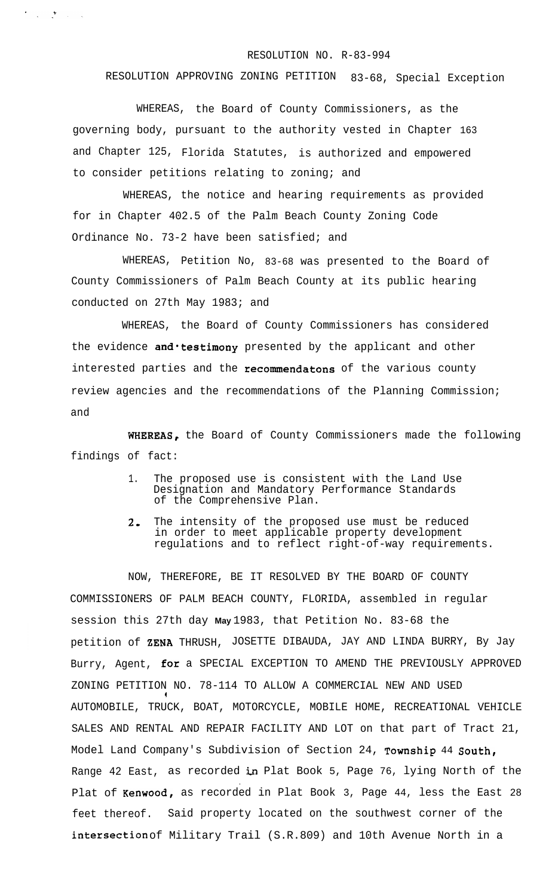## RESOLUTION NO. R-83-994

## RESOLUTION APPROVING ZONING PETITION 83-68, Special Exception

WHEREAS, the Board of County Commissioners, as the governing body, pursuant to the authority vested in Chapter 163 and Chapter 125, Florida Statutes, is authorized and empowered to consider petitions relating to zoning; and

 $\label{eq:2.1} \frac{1}{2} \left( \frac{1}{2} \sum_{i=1}^n \frac{1}{2} \sum_{j=1}^n \frac{1}{2} \sum_{j=1}^n \frac{1}{2} \sum_{j=1}^n \frac{1}{2} \sum_{j=1}^n \frac{1}{2} \sum_{j=1}^n \frac{1}{2} \sum_{j=1}^n \frac{1}{2} \sum_{j=1}^n \frac{1}{2} \sum_{j=1}^n \frac{1}{2} \sum_{j=1}^n \frac{1}{2} \sum_{j=1}^n \frac{1}{2} \sum_{j=1}^n \frac{1}{2} \sum$ 

WHEREAS, the notice and hearing requirements as provided for in Chapter 402.5 of the Palm Beach County Zoning Code Ordinance No. 73-2 have been satisfied; and

WHEREAS, Petition No, 83-68 was presented to the Board of County Commissioners of Palm Beach County at its public hearing conducted on 27th May 1983; and

WHEREAS, the Board of County Commissioners has considered the evidence and *testimony* presented by the applicant and other interested parties and the recommendatons of the various county review agencies and the recommendations of the Planning Commission; and

WHEREAS, the Board of County Commissioners made the following findings of fact:

- 1. The proposed use is consistent with the Land Use Designation and Mandatory Performance Standards of the Comprehensive Plan.
- 2. The intensity of the proposed use must be reduced in order to meet applicable property development regulations and to reflect right-of-way requirements.

NOW, THEREFORE, BE IT RESOLVED BY THE BOARD OF COUNTY COMMISSIONERS OF PALM BEACH COUNTY, FLORIDA, assembled in regular session this 27th day **May** 1983, that Petition No. 83-68 the petition of ZENA THRUSH, JOSETTE DIBAUDA, JAY AND LINDA BURRY, By Jay Burry, Agent, for a SPECIAL EXCEPTION TO AMEND THE PREVIOUSLY APPROVED ZONING PETITION NO. 78-114 TO ALLOW A COMMERCIAL NEW AND USED . . AUTOMOBILE, TRUCK, BOAT, MOTORCYCLE, MOBILE HOME, RECREATIONAL VEHICLE SALES AND RENTAL AND REPAIR FACILITY AND LOT on that part of Tract 21, Model Land Company's Subdivision of Section 24, Township 44 South, Range 42 East, as recorded in Plat Book 5, Page 76, lying North of the . Plat of Kenwood, as recorded in Plat Book 3, Page 44, less the East 28 feet thereof. Said property located on the southwest corner of the intersection of Military Trail (S.R.809) and 10th Avenue North in a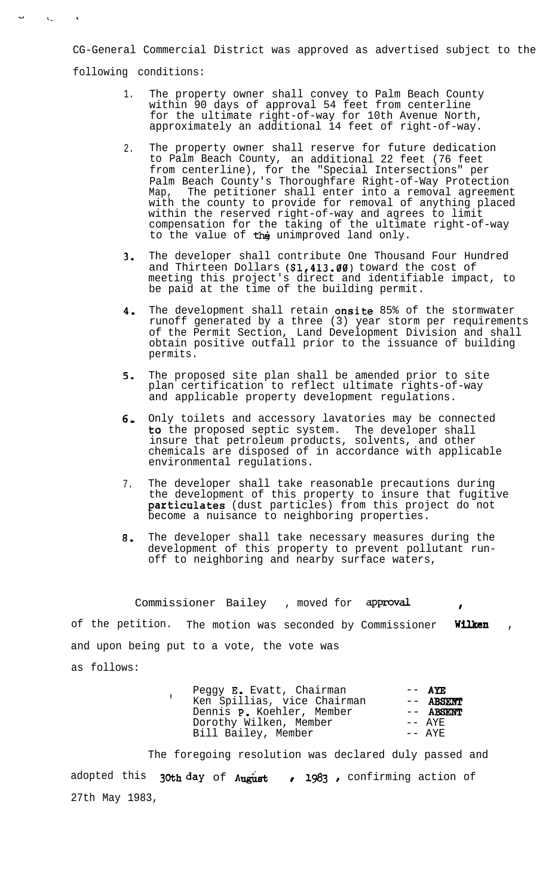CG-General Commercial District was approved as advertised subject to the following conditions:

-a

t- \* \* \* \*

- 1. The property owner shall convey to Palm Beach County within 90 days of approval 54 feet from centerline for the ultimate right-of-way for 10th Avenue North, approximately an additional 14 feet of right-of-way.
- $2<sub>1</sub>$ The property owner shall reserve for future dedication to Palm Beach County, an additional 22 feet (76 feet from centerline), for the "Special Intersections" per Palm Beach County's Thoroughfare Right-of-Way Protection Map, The petitioner shall enter into a removal agreement with the county to provide for removal of anything placed within the reserved right-of-way and agrees to limit compensation for the taking of the ultimate right-of-way to the value of the unimproved land only.
- 3. The developer shall contribute One Thousand Four Hundred and Thirteen Dollars (\$1,413.00) toward the cost of meeting this project's direct and identifiable impact, to be paid at the time of the building permit.
- 4. The development shall retain onsite 85% of the stormwater runoff generated by a three (3) year storm per requirements of the Permit Section, Land Development Division and shall obtain positive outfall prior to the issuance of building permits.
- 5. The proposed site plan shall be amended prior to site plan certification to reflect ultimate rights-of-way and applicable property development regulations.
- 6, Only toilets and accessory lavatories may be connected to, the proposed septic system. The developer shall insure that petroleum products, solvents, and other chemicals are disposed of in accordance with applicable environmental regulations.
- 7. The developer shall take reasonable precautions during the development of this property to insure that fugitive particulates (dust particles) from this project do not become a nuisance to neighboring properties.
- 8. The developer shall take necessary measures during the development of this property to prevent pollutant runoff to neighboring and nearby surface waters,

Commissioner Bailey , moved for approval of the petition. The motion was seconded by Commissioner Wilken and upon being put to a vote, the vote was as follows:

t

| Peggy E. Evatt, Chairman    | $---$ AYE |
|-----------------------------|-----------|
| Ken Spillias, vice Chairman | -- ABSENT |
| Dennis P. Koehler, Member   | -- ABSENT |
| Dorothy Wilken, Member      | $- AYF$   |
| Bill Bailey, Member         | $- AYF$   |

The foregoing resolution was declared duly passed and adopted this  $30th$  day of August , 1983, confirming action of 27th May 1983,